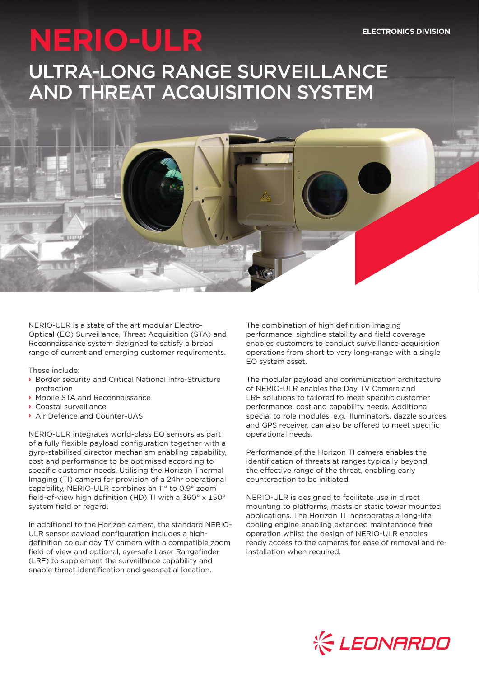# **NERIO-ULR**

# ULTRA-LONG RANGE SURVEILLANCE AND THREAT ACQUISITION SYSTEM

NERIO-ULR is a state of the art modular Electro-Optical (EO) Surveillance, Threat Acquisition (STA) and Reconnaissance system designed to satisfy a broad range of current and emerging customer requirements.

These include:

- **›** Border security and Critical National Infra-Structure protection
- **›** Mobile STA and Reconnaissance
- **›** Coastal surveillance
- **›** Air Defence and Counter-UAS

NERIO-ULR integrates world-class EO sensors as part of a fully flexible payload configuration together with a gyro-stabilised director mechanism enabling capability, cost and performance to be optimised according to specific customer needs. Utilising the Horizon Thermal Imaging (TI) camera for provision of a 24hr operational capability, NERIO-ULR combines an 11° to 0.9° zoom field-of-view high definition (HD) TI with a 360° x ±50° system field of regard.

In additional to the Horizon camera, the standard NERIO-ULR sensor payload configuration includes a highdefinition colour day TV camera with a compatible zoom field of view and optional, eye-safe Laser Rangefinder (LRF) to supplement the surveillance capability and enable threat identification and geospatial location.

The combination of high definition imaging performance, sightline stability and field coverage enables customers to conduct surveillance acquisition operations from short to very long-range with a single EO system asset.

The modular payload and communication architecture of NERIO-ULR enables the Day TV Camera and LRF solutions to tailored to meet specific customer performance, cost and capability needs. Additional special to role modules, e.g. illuminators, dazzle sources and GPS receiver, can also be offered to meet specific operational needs.

Performance of the Horizon TI camera enables the identification of threats at ranges typically beyond the effective range of the threat, enabling early counteraction to be initiated.

NERIO-ULR is designed to facilitate use in direct mounting to platforms, masts or static tower mounted applications. The Horizon TI incorporates a long-life cooling engine enabling extended maintenance free operation whilst the design of NERIO-ULR enables ready access to the cameras for ease of removal and reinstallation when required.